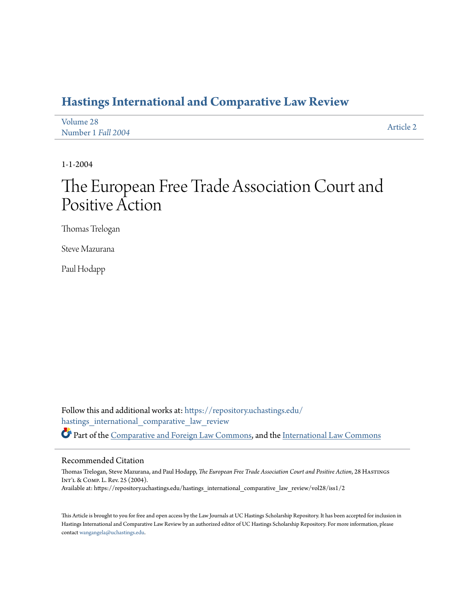# **[Hastings International and Comparative Law Review](https://repository.uchastings.edu/hastings_international_comparative_law_review?utm_source=repository.uchastings.edu%2Fhastings_international_comparative_law_review%2Fvol28%2Fiss1%2F2&utm_medium=PDF&utm_campaign=PDFCoverPages)**

| Volume 28          | Article 2 |
|--------------------|-----------|
| Number 1 Fall 2004 |           |

1-1-2004

# The European Free Trade Association Court and Positive Action

Thomas Trelogan

Steve Mazurana

Paul Hodapp

Follow this and additional works at: [https://repository.uchastings.edu/](https://repository.uchastings.edu/hastings_international_comparative_law_review?utm_source=repository.uchastings.edu%2Fhastings_international_comparative_law_review%2Fvol28%2Fiss1%2F2&utm_medium=PDF&utm_campaign=PDFCoverPages) [hastings\\_international\\_comparative\\_law\\_review](https://repository.uchastings.edu/hastings_international_comparative_law_review?utm_source=repository.uchastings.edu%2Fhastings_international_comparative_law_review%2Fvol28%2Fiss1%2F2&utm_medium=PDF&utm_campaign=PDFCoverPages) Part of the [Comparative and Foreign Law Commons](http://network.bepress.com/hgg/discipline/836?utm_source=repository.uchastings.edu%2Fhastings_international_comparative_law_review%2Fvol28%2Fiss1%2F2&utm_medium=PDF&utm_campaign=PDFCoverPages), and the [International Law Commons](http://network.bepress.com/hgg/discipline/609?utm_source=repository.uchastings.edu%2Fhastings_international_comparative_law_review%2Fvol28%2Fiss1%2F2&utm_medium=PDF&utm_campaign=PDFCoverPages)

#### Recommended Citation

Thomas Trelogan, Steve Mazurana, and Paul Hodapp, *The European Free Trade Association Court and Positive Action*, 28 Hastings Int'l & Comp. L. Rev. 25 (2004). Available at: https://repository.uchastings.edu/hastings\_international\_comparative\_law\_review/vol28/iss1/2

This Article is brought to you for free and open access by the Law Journals at UC Hastings Scholarship Repository. It has been accepted for inclusion in Hastings International and Comparative Law Review by an authorized editor of UC Hastings Scholarship Repository. For more information, please contact [wangangela@uchastings.edu](mailto:wangangela@uchastings.edu).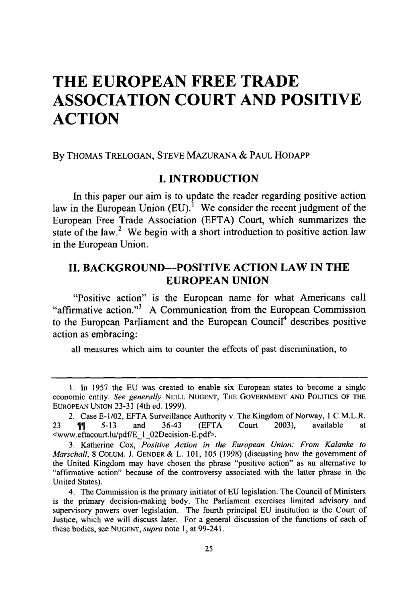# **THE EUROPEAN FREE TRADE ASSOCIATION COURT AND POSITIVE ACTION**

**By** THOMAS **TRELOGAN,** STEVE **MAZURANA & PAUL** HODAPP

# **I. INTRODUCTION**

In this paper our aim is to update the reader regarding positive action law in the European Union (EU).<sup>1</sup> We consider the recent judgment of the European Free Trade Association **(EFTA)** Court, which summarizes the state of the law.<sup>2</sup> We begin with a short introduction to positive action law in the European Union.

# **II. BACKGROUND-POSITIVE ACTION LAW IN THE EUROPEAN UNION**

"Positive action" is the European name for what Americans call "affirmative action."3 **A** Communication from the European Commission to the European Parliament and the European Council<sup>4</sup> describes positive action as embracing:

all measures which aim to counter the effects of past discrimination, to

<sup>1.</sup> In 1957 the EU was created to enable six European states to become a single economic entity. *See generally* **NEILL NUGENT,** THE GOVERNMENT **AND** POLITICS OF THE EUROPEAN **UNION** 23-31 (4th ed. 1999).

<sup>2.</sup> Case E-1/02, EFTA Surveillance Authority v. The Kingdom of Norway, 1 C.M.L.R. 23  $\parallel$  5-13 and 36-43 (EFTA Court 2003), available at <www.eftacourt.lu/pdf/EI 02Decision-E.pdf>.

<sup>3.</sup> Katherine Cox, *Positive Action in the European Union: From Kalanke to Marschall,* **8 COLUM. J. GENDER** & L. 101, 105 (1998) (discussing how the government of the United Kingdom may have chosen the phrase "positive action" as an alternative to "affirmative action" because of the controversy associated with the latter phrase in the United States).

<sup>4.</sup> The Commission is the primary initiator of EU legislation. The Council of Ministers is the primary decision-making body. The Parliament exercises limited advisory and supervisory powers over legislation. The fourth principal EU institution is the Court of Justice, which we will discuss later. For a general discussion of the functions of each of these bodies, see **NUGENT,** *supra* note 1, at 99-241.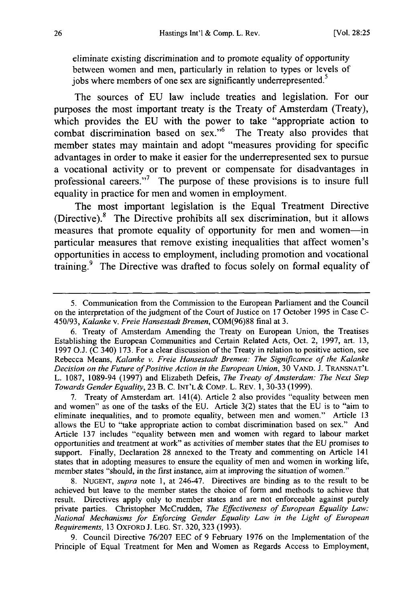eliminate existing discrimination and to promote equality of opportunity between women and men, particularly in relation to types or levels of jobs where members of one sex are significantly underrepresented.<sup>5</sup>

The sources of EU law include treaties and legislation. For our purposes the most important treaty is the Treaty of Amsterdam (Treaty), which provides the EU with the power to take "appropriate action to combat discrimination based on sex."<sup>6</sup> The Treaty also provides that member states may maintain and adopt "measures providing for specific advantages in order to make it easier for the underrepresented sex to pursue a vocational activity or to prevent or compensate for disadvantages in professional careers."' The purpose of these provisions is to insure full equality in practice for men and women in employment.

The most important legislation is the Equal Treatment Directive (Directive).8 The Directive prohibits all sex discrimination, but it allows measures that promote equality of opportunity for men and women-in particular measures that remove existing inequalities that affect women's opportunities in access to employment, including promotion and vocational training.<sup>9</sup> The Directive was drafted to focus solely on formal equality of

Treaty of Amsterdam art. 141(4). Article 2 also provides "equality between men and women" as one of the tasks of the EU. Article 3(2) states that the EU is to "aim to eliminate inequalities, and to promote equality, between men and women." Article 13 allows the EU to "take appropriate action to combat discrimination based on sex." And Article 137 includes "equality between men and women with regard to labour market opportunities and treatment at work" as activities of member states that the EU promises to support. Finally, Declaration 28 annexed to the Treaty and commenting on Article 141 states that in adopting measures to ensure the equality of men and women in working life, member states "should, in the first instance, aim at improving the situation of women."

8. NUGENT, *supra* note 1, at 246-47. Directives are binding as to the result to be achieved but leave to the member states the choice of form and methods to achieve that result. Directives apply only to member states and are not enforceable against purely private parties. Christopher McCrudden, *The Effectiveness of European Equality Law: National Mechanisms for Enforcing Gender Equality Law in the Light of European Requirements,* 13 OXFORD **J.** LEG. ST. 320, 323 (1993).

9. Council Directive 76/207 EEC of 9 February 1976 on the Implementation of the Principle of Equal Treatment for Men and Women as Regards Access to Employment,

<sup>5.</sup> Communication from the Commission to the European Parliament and the Council on the interpretation of the judgment of the Court of Justice on 17 October 1995 in Case C-450/93, *Kalanke v. Freie Hansestadt Bremen,* COM(96)88 final at 3.

<sup>6.</sup> Treaty of Amsterdam Amending the Treaty on European Union, the Treatises Establishing the European Communities and Certain Related Acts, Oct. 2, 1997, art. 13, 1997 O.J. (C 340) 173. For a clear discussion of the Treaty in relation to positive action, see Rebecca Means, *Kalanke v. Freie Hansestadt Bremen: The Significance of the Kalanke Decision on the Future of Positive Action in the European Union,* 30 VAND. J. TRANSNAT'L L. 1087, 1089-94 (1997) and Elizabeth Defeis, *The Treaty of Amsterdam: The Next Step Towards Gender Equality,* 23 B. C. INT'L & COMP. L. REv. 1, 30-33 (1999).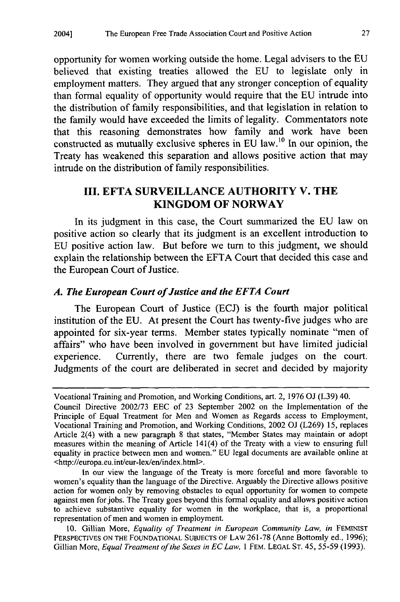opportunity for women working outside the home. Legal advisers to the EU believed that existing treaties allowed the EU to legislate only in employment matters. They argued that any stronger conception of equality than formal equality of opportunity would require that the EU intrude into the distribution of family responsibilities, and that legislation in relation to the family would have exceeded the limits of legality. Commentators note that this reasoning demonstrates how family and work have been constructed as mutually exclusive spheres in EU law.10 In our opinion, the Treaty has weakened this separation and allows positive action that may intrude on the distribution of family responsibilities.

# **III. EFTA SURVEILLANCE** AUTHORITY V. **THE KINGDOM OF NORWAY**

In its judgment in this case, the Court summarized the **EU** law on positive action so clearly that its judgment is an excellent introduction to **EU** positive action law. But before we turn to this judgment, we should explain the relationship between the **EFTA** Court that decided this case and the European Court of Justice.

### *A. The European Court of Justice and the EFTA Court*

The European Court of Justice (ECJ) is the fourth major political institution of the EU. At present the Court has twenty-five judges who are appointed for six-year terms. Member states typically nominate "men of affairs" who have been involved in government but have limited judicial experience. Currently, there are two female judges on the court. Judgments of the court are deliberated in secret and decided by majority

In our view the language of the Treaty is more forceful and more favorable to women's equality than the language of the Directive. Arguably the Directive allows positive action for women only by removing obstacles to equal opportunity for women to compete against men for jobs. The Treaty goes beyond this formal equality and allows positive action to achieve substantive equality for women in the workplace, that is, a proportional representation of men and women in employment.

10. Gillian More, *Equality of Treatment in European Community Law, in* **FEMINIST** PERSPECTIVES ON THE FOUNDATIONAL SUBJECTS OF LAW 261-78 (Anne Bottomly ed., 1996); Gillian More, *Equal Treatment of the Sexes in ECLaw,* 1 FEM. **LEGAL ST.** 45, 55-59 (1993).

Vocational Training and Promotion, and Working Conditions, art. 2, 1976 OJ (L39) 40. Council Directive 2002/73 EEC of 23 September 2002 on the Implementation of the Principle of Equal Treatment for Men and Women as Regards access to Employment, Vocational Training and Promotion, and Working Conditions, 2002 OJ (L269) 15, replaces Article 2(4) with a new paragraph 8 that states, "Member States may maintain or adopt measures within the meaning of Article 141(4) of the Treaty with a view to ensuring full equality in practice between men and women." EU legal documents are available online at <http://europa.eu.int/eur-lex/en/index.html>.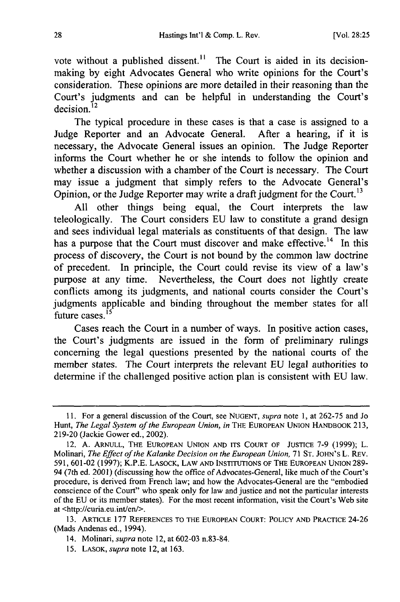vote without a published dissent.<sup>11</sup> The Court is aided in its decisionmaking by eight Advocates General who write opinions for the Court's consideration. These opinions are more detailed in their reasoning than the Court's judgments and can be helpful in understanding the Court's decision. 12

The typical procedure in these cases is that a case is assigned to a Judge Reporter and an Advocate General. After a hearing, if it is necessary, the Advocate General issues an opinion. The Judge Reporter informs the Court whether he or she intends to follow the opinion and whether a discussion with a chamber of the Court is necessary. The Court may issue a judgment that simply refers to the Advocate General's Opinion, or the Judge Reporter may write a draft judgment for the Court.<sup>13</sup>

All other things being equal, the Court interprets the law teleologically. The Court considers EU law to constitute a grand design and sees individual legal materials as constituents of that design. The law has a purpose that the Court must discover and make effective.<sup>14</sup> In this process of discovery, the Court is not bound by the common law doctrine of precedent. In principle, the Court could revise its view of a law's purpose at any time. Nevertheless, the Court does not lightly create conflicts among its judgments, and national courts consider the Court's judgments applicable and binding throughout the member states for all future cases. $^{15}$ 

Cases reach the Court in a number of ways. In positive action cases, the Court's judgments are issued in the form of preliminary rulings concerning the legal questions presented by the national courts of the member states. The Court interprets the relevant EU legal authorities to determine if the challenged positive action plan is consistent with EU law.

<sup>11.</sup> For a general discussion of the Court, see NUGENT, *supra* note **1,** at 262-75 and Jo Hunt, *The Legal System of the European Union, in* THE EUROPEAN UNION HANDBOOK 213, 219-20 (Jackie Gower ed., 2002).

<sup>12.</sup> A. ARNULL, **THE** EUROPEAN UNION AND ITS COURT OF JUSTICE **7-9** (1999); L. Molinari, *The Effect of the Kalanke Decision on the European Union*, 71 ST. JOHN'S L. REV. 591, 601-02 (1997); K.P.E. LASOCK, LAW **AND** INSTITUTIONS OF THE EUROPEAN UNION 289- 94 (7th ed. 2001) (discussing how the office of Advocates-General, like much of the Court's procedure, is derived from French law; and how the Advocates-General are the "embodied conscience of the Court" who speak only for law and justice and not the particular interests of the EU or its member states). For the most recent information, visit the Court's Web site at <http://curia.eu.int/en/>.

<sup>13.</sup> ARTICLE 177 REFERENCES TO THE EUROPEAN COURT: POLICY AND PRACTICE 24-26 (Mads Andenas ed., 1994).

<sup>14.</sup> Molinari, *supra* note 12, at 602-03 n.83-84.

<sup>15.</sup> LASOK, *supra* note 12, at 163.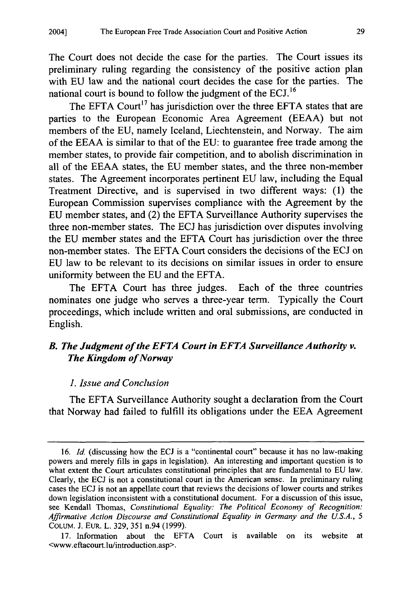The Court does not decide the case for the parties. The Court issues its preliminary ruling regarding the consistency of the positive action plan with EU law and the national court decides the case for the parties. The national court is bound to follow the judgment of the ECJ. **<sup>16</sup>**

The EFTA Court<sup>17</sup> has jurisdiction over the three EFTA states that are parties to the European Economic Area Agreement (EEAA) but not members of the EU, namely Iceland, Liechtenstein, and Norway. The aim of the EEAA is similar to that of the EU: to guarantee free trade among the member states, to provide fair competition, and to abolish discrimination in all of the EEAA states, the EU member states, and the three non-member states. The Agreement incorporates pertinent EU law, including the Equal Treatment Directive, and is supervised in two different ways: (1) the European Commission supervises compliance with the Agreement by the EU member states, and (2) the EFTA Surveillance Authority supervises the three non-member states. The ECJ has jurisdiction over disputes involving the EU member states and the EFTA Court has jurisdiction over the three non-member states. The EFTA Court considers the decisions of the ECJ on EU law to be relevant to its decisions on similar issues in order to ensure uniformity between the EU and the EFTA.

The EFTA Court has three judges. Each of the three countries nominates one judge who serves a three-year term. Typically the Court proceedings, which include written and oral submissions, are conducted in English.

# *B. The Judgment of the EFTA Court in EFTA Surveillance Authority v. The Kingdom of Norway*

### *1. Issue and Conclusion*

The EFTA Surveillance Authority sought a declaration from the Court that Norway had failed to fulfill its obligations under the **EEA** Agreement

**<sup>16.</sup>** *Id.* (discussing how the **ECJ** is a "continental court" because it has no law-making powers and merely fills in gaps in legislation). An interesting and important question is to what extent the Court articulates constitutional principles that are fundamental to **EU** law. Clearly, the **ECJ** is not a constitutional court in the American sense. In preliminary ruling cases the **ECJ** is not an appellate court that reviews the decisions of lower courts and strikes down legislation inconsistent with a constitutional document. For a discussion of this issue, see Kendall Thomas, *Constitutional Equality: The Political Economy of Recognition: Affirmative Action Discourse and Constitutional Equality in Germany and the U.S.A., 5* **COLUM. J.** EuR. L. **329, 351** n.94 **(1999).**

**<sup>17.</sup>** Information about the EFTA Court is available on its website at <www.eftacourt.lu/introduction.asp>.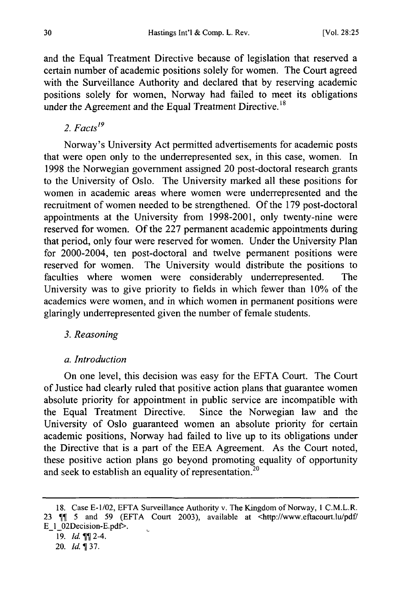and the Equal Treatment Directive because of legislation that reserved a certain number of academic positions solely for women. The Court agreed with the Surveillance Authority and declared that by reserving academic positions solely for women, Norway had failed to meet its obligations under the Agreement and the Equal Treatment Directive.<sup>18</sup>

2.  $Facts^{19}$ 

Norway's University Act permitted advertisements for academic posts that were open only to the underrepresented sex, in this case, women. In 1998 the Norwegian government assigned 20 post-doctoral research grants to the University of Oslo. The University marked all these positions for women in academic areas where women were underrepresented and the recruitment of women needed to be strengthened. Of the 179 post-doctoral appointments at the University from 1998-2001, only twenty-nine were reserved for women. Of the 227 permanent academic appointments during that period, only four were reserved for women. Under the University Plan for 2000-2004, ten post-doctoral and twelve permanent positions were reserved for women. The University would distribute the positions to faculties where women were considerably underrepresented. The University was to give priority to fields in which fewer than 10% of the academics were women, and in which women in permanent positions were glaringly underrepresented given the number of female students.

#### *3. Reasoning*

#### *a. Introduction*

On one level, this decision was easy for the EFTA Court. The Court of Justice had clearly ruled that positive action plans that guarantee women absolute priority for appointment in public service are incompatible with the Equal Treatment Directive. Since the Norwegian law and the University of Oslo guaranteed women an absolute priority for certain academic positions, Norway had failed to live up to its obligations under the Directive that is a part of the EEA Agreement. As the Court noted, these positive action plans go beyond promoting equality of opportunity and seek to establish an equality of representation.<sup>20</sup>

<sup>18.</sup> Case E-1/02, EFTA Surveillance Authority v. The Kingdom of Norway, 1 C.M.L.R. 23  $\P$  5 and 59 (EFTA Court 2003), available at <http://www.eftacourt.lu/pdf/ E 1\_02Decision-E.pdf>. Ü

<sup>19.</sup> *Id.* **11** 2-4.

<sup>20.</sup> *Id.137.*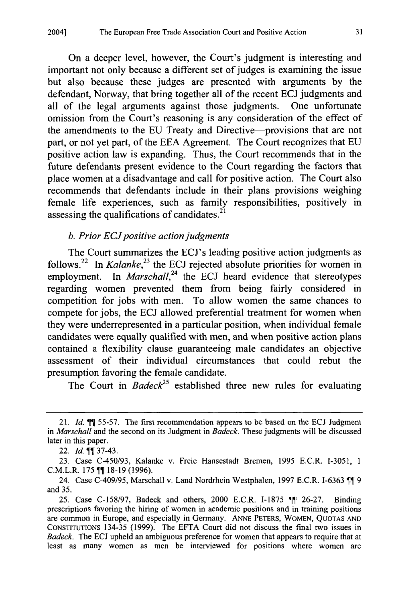On a deeper level, however, the Court's judgment is interesting and important not only because a different set of judges is examining the issue but also because these judges are presented with arguments by the defendant, Norway, that bring together all of the recent ECJ judgments and all of the legal arguments against those judgments. One unfortunate omission from the Court's reasoning is any consideration of the effect of the amendments to the EU Treaty and Directive-provisions that are not part, or not yet part, of the EEA Agreement. The Court recognizes that EU positive action law is expanding. Thus, the Court recommends that in the future defendants present evidence to the Court regarding the factors that place women at a disadvantage and call for positive action. The Court also recommends that defendants include in their plans provisions weighing female life experiences, such as family responsibilities, positively in assessing the qualifications of candidates. $^{21}$ 

#### *b. Prior ECJ positive action judgments*

The Court summarizes the ECJ's leading positive action judgments as follows.<sup>22</sup> In *Kalanke*,<sup>23</sup> the ECJ rejected absolute priorities for women in employment. In *Marschall*,<sup>24</sup> the ECJ heard evidence that stereotypes regarding women prevented them from being fairly considered in competition for jobs with men. To allow women the same chances to compete for jobs, the ECJ allowed preferential treatment for women when they were underrepresented in a particular position, when individual female candidates were equally qualified with men, and when positive action plans contained a flexibility clause guaranteeing male candidates an objective assessment of their individual circumstances that could rebut the presumption favoring the female candidate.

The Court in *Badeck25* established three new rules for evaluating

<sup>21.</sup> *Id.* 55-57. The first recommendation appears to be based on the ECJ Judgment in *Marschall* and the second on its Judgment in *Badeck.* These judgments will be discussed later in this paper.

<sup>22.</sup> *Id.* **11** 37-43.

<sup>23.</sup> Case C-450/93, Kalanke v. Freie Hansestadt Bremen, 1995 E.C.R. 1-3051, 1 C.M.L.R. 175 TI 18-19 (1996).

<sup>24.</sup> Case C-409/95, Marschall v. Land Nordrhein Westphalen, 1997 E.C.R. I-6363 Tom and 35.

<sup>25.</sup> Case C-158/97, Badeck and others, 2000 E.C.R. I-1875 11 26-27. Binding prescriptions favoring the hiring of women in academic positions and in training positions are common in Europe, and especially in Germany. **ANNE** PETERS, WOMEN, QUOTAS AND CONSTITUTIONS 134-35 (1999). The EFTA Court did not discuss the final two issues in *Badeck.* The ECJ upheld an ambiguous preference for women that appears to require that at least as many women as men be interviewed for positions where women are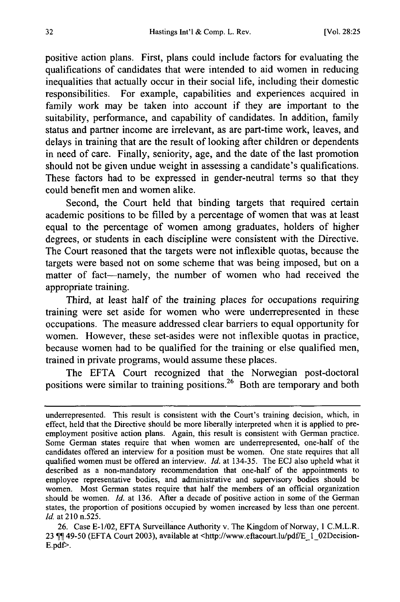positive action plans. First, plans could include factors for evaluating the qualifications of candidates that were intended to aid women in reducing inequalities that actually occur in their social life, including their domestic responsibilities. For example, capabilities and experiences acquired in family work may be taken into account if they are important to the suitability, performance, and capability of candidates. In addition, family status and partner income are irrelevant, as are part-time work, leaves, and delays in training that are the result of looking after children or dependents in need of care. Finally, seniority, age, and the date of the last promotion should not be given undue weight in assessing a candidate's qualifications. These factors had to be expressed in gender-neutral terms so that they could benefit men and women alike.

Second, the Court held that binding targets that required certain academic positions to be filled by a percentage of women that was at least equal to the percentage of women among graduates, holders of higher degrees, or students in each discipline were consistent with the Directive. The Court reasoned that the targets were not inflexible quotas, because the targets were based not on some scheme that was being imposed, but on a matter of fact-namely, the number of women who had received the appropriate training.

Third, at least half of the training places for occupations requiring training were set aside for women who were underrepresented in these occupations. The measure addressed clear barriers to equal opportunity for women. However, these set-asides were not inflexible quotas in practice, because women had to be qualified for the training or else qualified men, trained in private programs, would assume these places.

The EFTA Court recognized that the Norwegian post-doctoral positions were similar to training positions.<sup>26</sup> Both are temporary and both

underrepresented. This result is consistent with the Court's training decision, which, in effect, held that the Directive should be more liberally interpreted when it is applied to preemployment positive action plans. Again, this result is consistent with German practice. Some German states require that when women are underrepresented, one-half of the candidates offered an interview for a position must be women. One state requires that all qualified women must be offered an interview. *Id.* at 134-35. The ECJ also upheld what it described as a non-mandatory recommendation that one-half of the appointments to employee representative bodies, and administrative and supervisory bodies should be women. Most German states require that half the members of an official organization should be women. *Id.* at 136. After a decade of positive action in some of the German states, the proportion of positions occupied by women increased by less than one percent. *Id.* at **210** n.525.

<sup>26.</sup> Case E-1/02, EFTA Surveillance Authority v. The Kingdom of Norway, 1 C.M.L.R. 23  $\P$ ] 49-50 (EFTA Court 2003), available at <http://www.eftacourt.lu/pdf/E\_1\_02Decision-E.pdf>.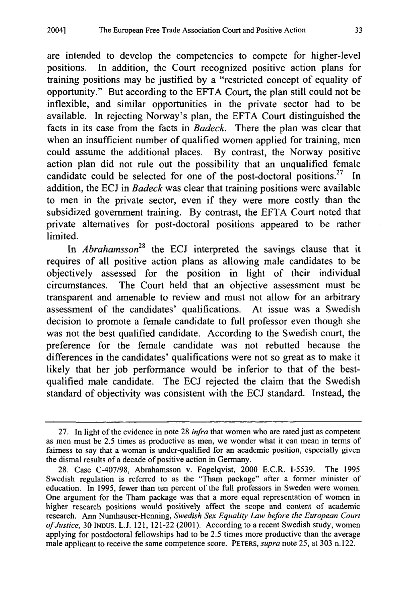are intended to develop the competencies to compete for higher-level positions. In addition, the Court recognized positive action plans for training positions may be justified by a "restricted concept of equality of opportunity." But according to the EFTA Court, the plan still could not be inflexible, and similar opportunities in the private sector had to be available. In rejecting Norway's plan, the EFTA Court distinguished the facts in its case from the facts in *Badeck.* There the plan was clear that when an insufficient number of qualified women applied for training, men could assume the additional places. By contrast, the Norway positive action plan did not rule out the possibility that an unqualified female candidate could be selected for one of the post-doctoral positions.<sup>27</sup> In addition, the ECJ in *Badeck* was clear that training positions were available to men in the private sector, even if they were more costly than the subsidized government training. By contrast, the EFTA Court noted that private alternatives for post-doctoral positions appeared to be rather limited.

In *Abrahamsson28* the ECJ interpreted the savings clause that it requires of all positive action plans as allowing male candidates to be objectively assessed for the position in light of their individual circumstances. The Court held that an objective assessment must be transparent and amenable to review and must not allow for an arbitrary assessment of the candidates' qualifications. At issue was a Swedish decision to promote a female candidate to full professor even though she was not the best qualified candidate. According to the Swedish court, the preference for the female candidate was not rebutted because the differences in the candidates' qualifications were not so great as to make it likely that her job performance would be inferior to that of the bestqualified male candidate. The ECJ rejected the claim that the Swedish standard of objectivity was consistent with the ECJ standard. Instead, the

<sup>27.</sup> In light of the evidence in note 28 *infra* that women who are rated just as competent as men must be 2.5 times as productive as men, we wonder what it can mean in terms of fairness to say that a woman is under-qualified for an academic position, especially given the dismal results of a decade of positive action in Germany.

<sup>28.</sup> Case C-407/98, Abrahamsson v. Fogelqvist, 2000 E.C.R. 1-5539. The 1995 Swedish regulation is referred to as the "Tham package" after a former minister of education. In 1995, fewer than ten percent of the full professors in Sweden were women. One argument for the Tham package was that a more equal representation of women in higher research positions would positively affect the scope and content of academic research. Ann Numhauser-Henning, *Swedish Sex Equality Law before the European Court of Justice,* 30 INDus. L.J. 121, 121-22 (2001). According to a recent Swedish study, women applying for postdoctoral fellowships had to be 2.5 times more productive than the average male applicant to receive the same competence score. PETERS, *supra* note 25, at 303 n. 122.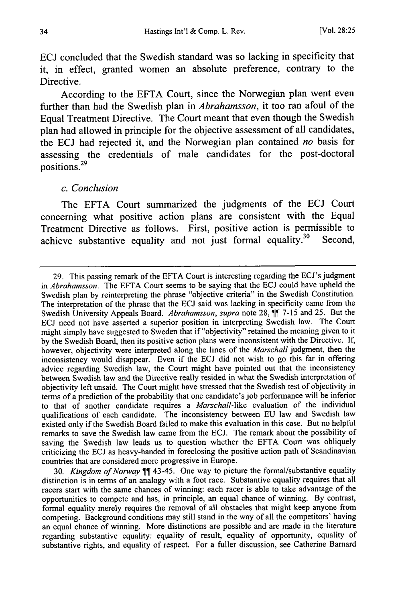ECJ concluded that the Swedish standard was so lacking in specificity that it, in effect, granted women an absolute preference, contrary to the Directive.

According to the EFTA Court, since the Norwegian plan went even further than had the Swedish plan in *Abrahamsson,* it too ran afoul of the Equal Treatment Directive. The Court meant that even though the Swedish plan had allowed in principle for the objective assessment of all candidates, the ECJ had rejected it, and the Norwegian plan contained *no* basis for assessing the credentials of male candidates for the post-doctoral **<sup>29</sup>** positions.

#### *c. Conclusion*

The EFTA Court summarized the judgments of the ECJ Court concerning what positive action plans are consistent with the Equal Treatment Directive as follows. First, positive action is permissible to achieve substantive equality and not just formal equality.<sup>30</sup> Second,

30. *Kingdom of Norway* 43-45. One way to picture the formal/substantive equality distinction is in terms of an analogy with a foot race. Substantive equality requires that all racers start with the same chances of winning: each racer is able to take advantage of the opportunities to compete and has, in principle, an equal chance of winning. By contrast, formal equality merely requires the removal of all obstacles that might keep anyone from competing. Background conditions may still stand in the way of all the competitors' having an equal chance of winning. More distinctions are possible and are made in the literature regarding substantive equality: equality of result, equality of opportunity, equality of substantive rights, and equality of respect. For a fuller discussion, see Catherine Barnard

<sup>29.</sup> This passing remark of the EFTA Court is interesting regarding the ECJ's judgment in *Abrahamsson.* The EFTA Court seems to be saying that the **ECJ** could have upheld the Swedish plan by reinterpreting the phrase "objective criteria" in the Swedish Constitution. The interpretation of the phrase that the ECJ said was lacking in specificity came from the Swedish University Appeals Board. Abrahamsson, supra note 28, <sup>11</sup> 7-15 and 25. But the ECJ need not have asserted a superior position in interpreting Swedish law. The Court might simply have suggested to Sweden that if "objectivity" retained the meaning given to it by the Swedish Board, then its positive action plans were inconsistent with the Directive. If, however, objectivity were interpreted along the lines of the *Marschall* judgment, then the inconsistency would disappear. Even if the ECJ did not wish to go this far in offering advice regarding Swedish law, the Court might have pointed out that the inconsistency between Swedish law and the Directive really resided in what the Swedish interpretation of objectivity left unsaid. The Court might have stressed that the Swedish test of objectivity in terms of a prediction of the probability that one candidate's job performance will be inferior to that of another candidate requires a *Marschall-like* evaluation of the individual qualifications of each candidate. The inconsistency between EU law and Swedish law existed only if the Swedish Board failed to make this evaluation in this case. But no helpful remarks to save the Swedish law came from the ECJ. The remark about the possibility of saving the Swedish law leads us to question whether the EFTA Court was obliquely criticizing the ECJ as heavy-handed in foreclosing the positive action path of Scandinavian countries that are considered more progressive in Europe.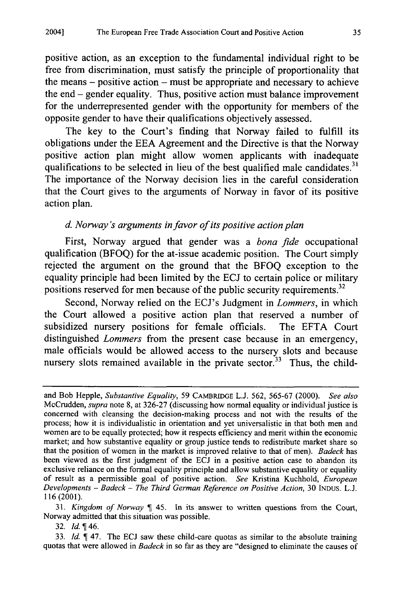positive action, as an exception to the fundamental individual right to be free from discrimination, must satisfy the principle of proportionality that the means  $-$  positive action  $-$  must be appropriate and necessary to achieve the end - gender equality. Thus, positive action must balance improvement for the underrepresented gender with the opportunity for members of the opposite gender to have their qualifications objectively assessed.

The key to the Court's finding that Norway failed to fulfill its obligations under the EEA Agreement and the Directive is that the Norway positive action plan might allow women applicants with inadequate qualifications to be selected in lieu of the best qualified male candidates.<sup>3</sup> The importance of the Norway decision lies in the careful consideration that the Court gives to the arguments of Norway in favor of its positive action plan.

# *d. Norway's arguments in favor of its positive action plan*

First, Norway argued that gender was a *bona fide* occupational qualification (BFOQ) for the at-issue academic position. The Court simply rejected the argument on the ground that the BFOQ exception to the equality principle had been limited by the ECJ to certain police or military positions reserved for men because of the public security requirements.<sup>32</sup>

Second, Norway relied on the ECJ's Judgment in *Lommers,* in which the Court allowed a positive action plan that reserved a number of subsidized nursery positions for female officials. The EFTA Court distinguished *Lommers* from the present case because in an emergency, male officials would be allowed access to the nursery slots and because nursery slots remained available in the private sector.<sup>33</sup> Thus, the child-

31. *Kingdom of Norway* 45. In its answer to written questions from the Court, Norway admitted that this situation was possible.

and Bob Hepple, *Substantive Equality,* 59 CAMBRIDGE L.J. 562, 565-67 (2000). *See also* McCrudden, *supra* note 8, at 326-27 (discussing how normal equality or individual justice is concerned with cleansing the decision-making process and not with the results of the process; how it is individualistic in orientation and yet universalistic in that both men and women are to be equally protected; how it respects efficiency and merit within the economic market; and how substantive equality or group justice tends to redistribute market share so that the position of women in the market is improved relative to that of men). *Badeck* has been viewed as the first judgment of the ECJ in a positive action case to abandon its exclusive reliance on the formal equality principle and allow substantive equality or equality of result as a permissible goal of positive action. *See* Kristina Kuchhold, *European Developments* - *Badeck* - *The Third German Reference on Positive Action,* 30 **INDUS. L.J. 116** (2001).

<sup>32.</sup>  $Id. \P 46$ .

<sup>33.</sup> *Id.* 47. The **ECJ** saw these child-care quotas as similar to the absolute training quotas that were allowed in *Badeck* in so far as they are "designed to eliminate the causes of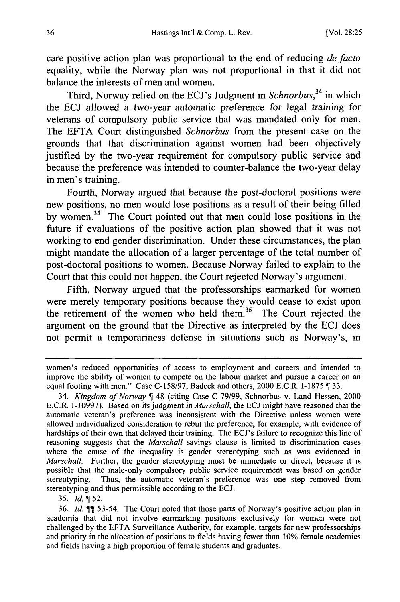care positive action plan was proportional to the end of reducing *de facto* equality, while the Norway plan was not proportional in that it did not balance the interests of men and women.

Third, Norway relied on the ECJ's Judgment in *Schnorbus,34* in which the ECJ allowed a two-year automatic preference for legal training for veterans of compulsory public service that was mandated only for men. The EFTA Court distinguished *Schnorbus* from the present case on the grounds that that discrimination against women had been objectively justified by the two-year requirement for compulsory public service and because the preference was intended to counter-balance the two-year delay in men's training.

Fourth, Norway argued that because the post-doctoral positions were new positions, no men would lose positions as a result of their being filled by women. 35 The Court pointed out that men could lose positions in the future if evaluations of the positive action plan showed that it was not working to end gender discrimination. Under these circumstances, the plan might mandate the allocation of a larger percentage of the total number of post-doctoral positions to women. Because Norway failed to explain to the Court that this could not happen, the Court rejected Norway's argument.

Fifth, Norway argued that the professorships earmarked for women were merely temporary positions because they would cease to exist upon the retirement of the women who held them.<sup>36</sup> The Court rejected the argument on the ground that the Directive as interpreted by the ECJ does not permit a temporariness defense in situations such as Norway's, in

35. *Id.* 752.

women's reduced opportunities of access to employment and careers and intended to improve the ability of women to compete on the labour market and pursue a career on an equal footing with men." Case C-158/97, Badeck and others, 2000 E.C.R. I-1875 ¶ 33.

<sup>34.</sup> *Kingdom of Norway* 48 (citing Case C-79/99, Schnorbus v. Land Hessen, 2000 E.C.R. 1-10997). Based on its judgment in *Marschall,* the **ECJ** might have reasoned that the automatic veteran's preference was inconsistent with the Directive unless women were allowed individualized consideration to rebut the preference, for example, with evidence of hardships of their own that delayed their training. The ECJ's failure to recognize this line of reasoning suggests that the *Marschall* savings clause is limited to discrimination cases where the cause of the inequality is gender stereotyping such as was evidenced in *Marschall.* Further, the gender stereotyping must be immediate or direct, because it is possible that the male-only compulsory public service requirement was based on gender stereotyping. Thus, the automatic veteran's preference was one step removed from stereotyping and thus permissible according to the ECJ.

<sup>36.</sup> *Id.*  $\P$  53-54. The Court noted that those parts of Norway's positive action plan in academia that did not involve earmarking positions exclusively for women were not challenged by the EFTA Surveillance Authority, for example, targets for new professorships and priority in the allocation of positions to fields having fewer than 10% female academics and fields having a high proportion of female students and graduates.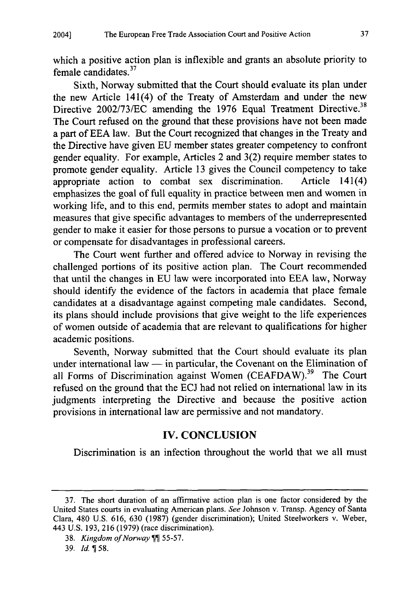which a positive action plan is inflexible and grants an absolute priority to female candidates.<sup>37</sup>

Sixth, Norway submitted that the Court should evaluate its plan under the new Article 141(4) of the Treaty of Amsterdam and under the new Directive 2002/73/EC amending the 1976 Equal Treatment Directive.<sup>38</sup> The Court refused on the ground that these provisions have not been made a part of EEA law. But the Court recognized that changes in the Treaty and the Directive have given EU member states greater competency to confront gender equality. For example, Articles 2 and 3(2) require member states to promote gender equality. Article 13 gives the Council competency to take appropriate action to combat sex discrimination. Article 141(4) emphasizes the goal of full equality in practice between men and women in working life, and to this end, permits member states to adopt and maintain measures that give specific advantages to members of the underrepresented gender to make it easier for those persons to pursue a vocation or to prevent or compensate for disadvantages in professional careers.

The Court went further and offered advice to Norway in revising the challenged portions of its positive action plan. The Court recommended that until the changes in EU law were incorporated into EEA law, Norway should identify the evidence of the factors in academia that place female candidates at a disadvantage against competing male candidates. Second, its plans should include provisions that give weight to the life experiences of women outside of academia that are relevant to qualifications for higher academic positions.

Seventh, Norway submitted that the Court should evaluate its plan under international law  $-$  in particular, the Covenant on the Elimination of all Forms of Discrimination against Women (CEAFDAW).<sup>39</sup> The Court refused on the ground that the ECJ had not relied on international law in its judgments interpreting the Directive and because the positive action provisions in international law are permissive and not mandatory.

# IV. **CONCLUSION**

Discrimination is an infection throughout the world that we all must

<sup>37.</sup> The short duration of an affirmative action plan is one factor considered by the United States courts in evaluating American plans. *See* Johnson v. Transp. Agency of Santa Clara, 480 U.S. 616, 630 (1987) (gender discrimination); United Steelworkers v. Weber, 443 U.S. 193, 216 (1979) (race discrimination).

<sup>38.</sup> *Kingdom of Norway* 55-57.

<sup>39.</sup> *Id.* 58.